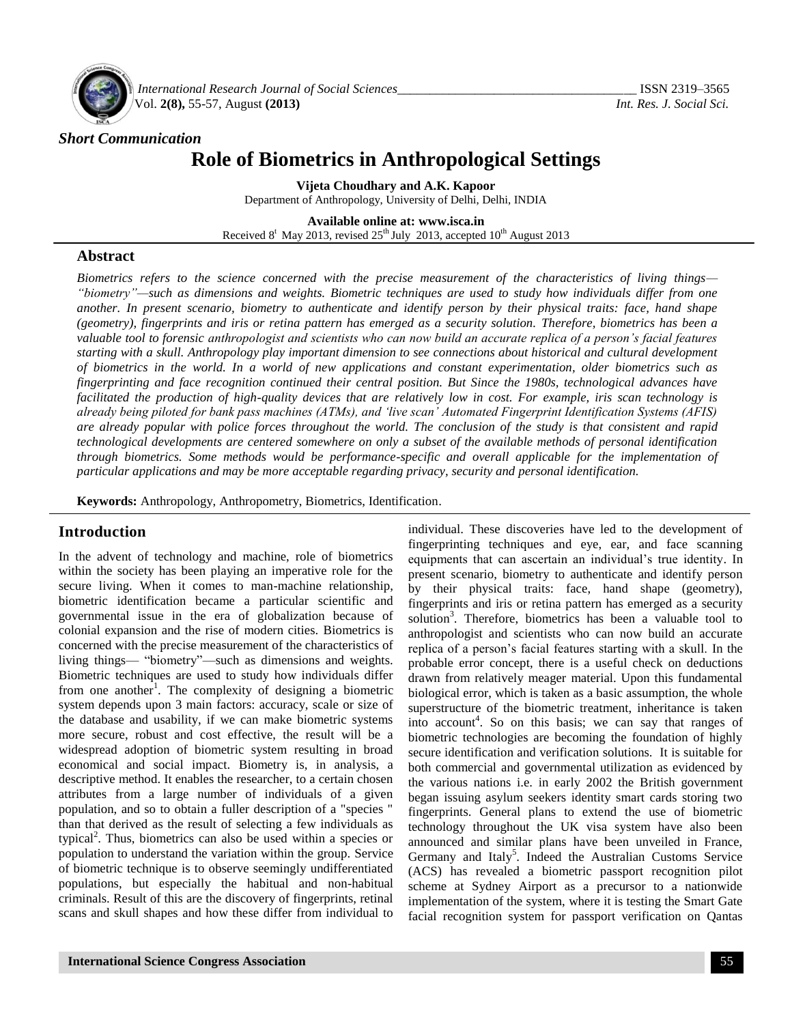

*International Research Journal of Social Sciences\_\_\_\_\_\_\_\_\_\_\_\_\_\_\_\_\_\_\_\_\_\_\_\_\_\_\_\_\_\_\_\_\_\_\_\_\_* ISSN 2319–3565 Vol. **2(8),** 55-57, August **(2013)** *Int. Res. J. Social Sci.*

#### *Short Communication*

# **Role of Biometrics in Anthropological Settings**

**Vijeta Choudhary and A.K. Kapoor** Department of Anthropology, University of Delhi, Delhi, INDIA

**Available online at: [www.isca.in](http://www.isca.in/)** Received  $8^t$  May 2013, revised  $25^{th}$  July 2013, accepted  $10^{th}$  August 2013

#### **Abstract**

*Biometrics refers to the science concerned with the precise measurement of the characteristics of living things— "biometry"—such as dimensions and weights. Biometric techniques are used to study how individuals differ from one another. In present scenario, biometry to authenticate and identify person by their physical traits: face, hand shape (geometry), fingerprints and iris or retina pattern has emerged as a security solution. Therefore, biometrics has been a valuable tool to forensic anthropologist and scientists who can now build an accurate replica of a person"s facial features starting with a skull. Anthropology play important dimension to see connections about historical and cultural development of biometrics in the world. In a world of new applications and constant experimentation, older biometrics such as fingerprinting and face recognition continued their central position. But Since the 1980s, technological advances have facilitated the production of high-quality devices that are relatively low in cost. For example, iris scan technology is already being piloted for bank pass machines (ATMs), and "live scan" Automated Fingerprint Identification Systems (AFIS) are already popular with police forces throughout the world. The conclusion of the study is that consistent and rapid technological developments are centered somewhere on only a subset of the available methods of personal identification through biometrics. Some methods would be performance-specific and overall applicable for the implementation of particular applications and may be more acceptable regarding privacy, security and personal identification.*

**Keywords:** Anthropology, Anthropometry, Biometrics, Identification.

### **Introduction**

In the advent of technology and machine, role of biometrics within the society has been playing an imperative role for the secure living. When it comes to man-machine relationship, biometric identification became a particular scientific and governmental issue in the era of globalization because of colonial expansion and the rise of modern cities. Biometrics is concerned with the precise measurement of the characteristics of living things— "biometry"—such as dimensions and weights. Biometric techniques are used to study how individuals differ from one another<sup>1</sup>. The complexity of designing a biometric system depends upon 3 main factors: accuracy, scale or size of the database and usability, if we can make biometric systems more secure, robust and cost effective, the result will be a widespread adoption of biometric system resulting in broad economical and social impact. Biometry is, in analysis, a descriptive method. It enables the researcher, to a certain chosen attributes from a large number of individuals of a given population, and so to obtain a fuller description of a "species " than that derived as the result of selecting a few individuals as typical<sup>2</sup>. Thus, biometrics can also be used within a species or population to understand the variation within the group. Service of biometric technique is to observe seemingly undifferentiated populations, but especially the habitual and non-habitual criminals. Result of this are the discovery of fingerprints, retinal scans and skull shapes and how these differ from individual to

fingerprinting techniques and eye, ear, and face scanning equipments that can ascertain an individual's true identity. In present scenario, biometry to authenticate and identify person by their physical traits: face, hand shape (geometry), fingerprints and iris or retina pattern has emerged as a security solution<sup>3</sup>. Therefore, biometrics has been a valuable tool to anthropologist and scientists who can now build an accurate replica of a person's facial features starting with a skull. In the probable error concept, there is a useful check on deductions drawn from relatively meager material. Upon this fundamental biological error, which is taken as a basic assumption, the whole superstructure of the biometric treatment, inheritance is taken into account<sup>4</sup>. So on this basis; we can say that ranges of biometric technologies are becoming the foundation of highly secure identification and verification solutions. It is suitable for both commercial and governmental utilization as evidenced by the various nations i.e. in early 2002 the British government began issuing asylum seekers identity smart cards storing two fingerprints. General plans to extend the use of biometric technology throughout the UK visa system have also been announced and similar plans have been unveiled in France, Germany and Italy<sup>5</sup>. Indeed the Australian Customs Service (ACS) has revealed a biometric passport recognition pilot scheme at Sydney Airport as a precursor to a nationwide implementation of the system, where it is testing the Smart Gate facial recognition system for passport verification on Qantas

individual. These discoveries have led to the development of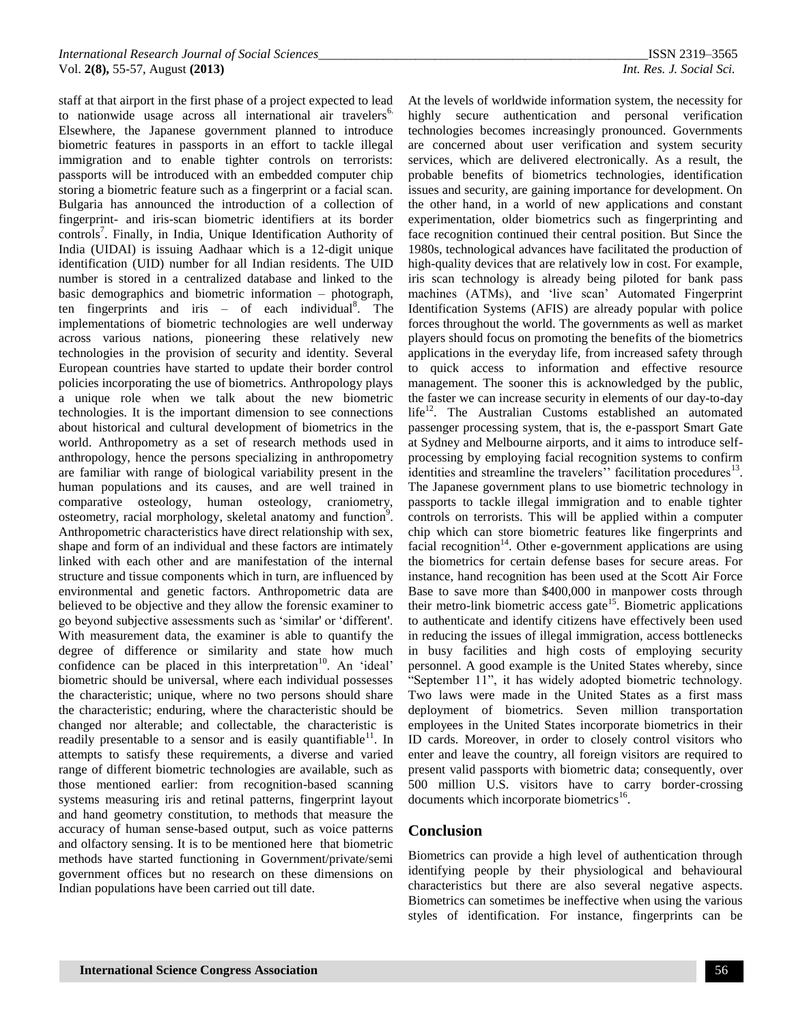staff at that airport in the first phase of a project expected to lead to nationwide usage across all international air travelers<sup>6.</sup> Elsewhere, the Japanese government planned to introduce biometric features in passports in an effort to tackle illegal immigration and to enable tighter controls on terrorists: passports will be introduced with an embedded computer chip storing a biometric feature such as a fingerprint or a facial scan. Bulgaria has announced the introduction of a collection of fingerprint- and iris-scan biometric identifiers at its border controls<sup>7</sup>. Finally, in India, Unique Identification Authority of India (UIDAI) is issuing Aadhaar which is a 12-digit unique identification (UID) number for all Indian residents. The UID number is stored in a centralized database and linked to the basic demographics and biometric information – photograph, ten fingerprints and iris  $-$  of each individual<sup>8</sup>. The implementations of biometric technologies are well underway across various nations, pioneering these relatively new technologies in the provision of security and identity. Several European countries have started to update their border control policies incorporating the use of biometrics. Anthropology plays a unique role when we talk about the new biometric technologies. It is the important dimension to see connections about historical and cultural development of biometrics in the world. Anthropometry as a set of research methods used in anthropology, hence the persons specializing in anthropometry are familiar with range of biological variability present in the human populations and its causes, and are well trained in comparative osteology, human osteology, craniometry, osteometry, racial morphology, skeletal anatomy and function<sup>9</sup>. Anthropometric characteristics have direct relationship with sex, shape and form of an individual and these factors are intimately linked with each other and are manifestation of the internal structure and tissue components which in turn, are influenced by environmental and genetic factors. Anthropometric data are believed to be objective and they allow the forensic examiner to go beyond subjective assessments such as 'similar' or 'different'. With measurement data, the examiner is able to quantify the degree of difference or similarity and state how much confidence can be placed in this interpretation<sup>10</sup>. An 'ideal' biometric should be universal, where each individual possesses the characteristic; unique, where no two persons should share the characteristic; enduring, where the characteristic should be changed nor alterable; and collectable, the characteristic is readily presentable to a sensor and is easily quantifiable<sup>11</sup>. In attempts to satisfy these requirements, a diverse and varied range of different biometric technologies are available, such as those mentioned earlier: from recognition-based scanning systems measuring iris and retinal patterns, fingerprint layout and hand geometry constitution, to methods that measure the accuracy of human sense-based output, such as voice patterns and olfactory sensing. It is to be mentioned here that biometric methods have started functioning in Government/private/semi government offices but no research on these dimensions on Indian populations have been carried out till date.

At the levels of worldwide information system, the necessity for highly secure authentication and personal verification technologies becomes increasingly pronounced. Governments are concerned about user verification and system security services, which are delivered electronically. As a result, the probable benefits of biometrics technologies, identification issues and security, are gaining importance for development. On the other hand, in a world of new applications and constant experimentation, older biometrics such as fingerprinting and face recognition continued their central position. But Since the 1980s, technological advances have facilitated the production of high-quality devices that are relatively low in cost. For example, iris scan technology is already being piloted for bank pass machines (ATMs), and 'live scan' Automated Fingerprint Identification Systems (AFIS) are already popular with police forces throughout the world. The governments as well as market players should focus on promoting the benefits of the biometrics applications in the everyday life, from increased safety through to quick access to information and effective resource management. The sooner this is acknowledged by the public, the faster we can increase security in elements of our day-to-day life<sup>12</sup>. The Australian Customs established an automated passenger processing system, that is, the e-passport Smart Gate at Sydney and Melbourne airports, and it aims to introduce selfprocessing by employing facial recognition systems to confirm identities and streamline the travelers'' facilitation procedures<sup>13</sup>. The Japanese government plans to use biometric technology in passports to tackle illegal immigration and to enable tighter controls on terrorists. This will be applied within a computer chip which can store biometric features like fingerprints and facial recognition<sup>14</sup>. Other e-government applications are using the biometrics for certain defense bases for secure areas. For instance, hand recognition has been used at the Scott Air Force Base to save more than \$400,000 in manpower costs through their metro-link biometric access gate<sup>15</sup>. Biometric applications to authenticate and identify citizens have effectively been used in reducing the issues of illegal immigration, access bottlenecks in busy facilities and high costs of employing security personnel. A good example is the United States whereby, since ―September 11‖, it has widely adopted biometric technology. Two laws were made in the United States as a first mass deployment of biometrics. Seven million transportation employees in the United States incorporate biometrics in their ID cards. Moreover, in order to closely control visitors who enter and leave the country, all foreign visitors are required to present valid passports with biometric data; consequently, over 500 million U.S. visitors have to carry border-crossing documents which incorporate biometrics<sup>16</sup>.

### **Conclusion**

Biometrics can provide a high level of authentication through identifying people by their physiological and behavioural characteristics but there are also several negative aspects. Biometrics can sometimes be ineffective when using the various styles of identification. For instance, fingerprints can be